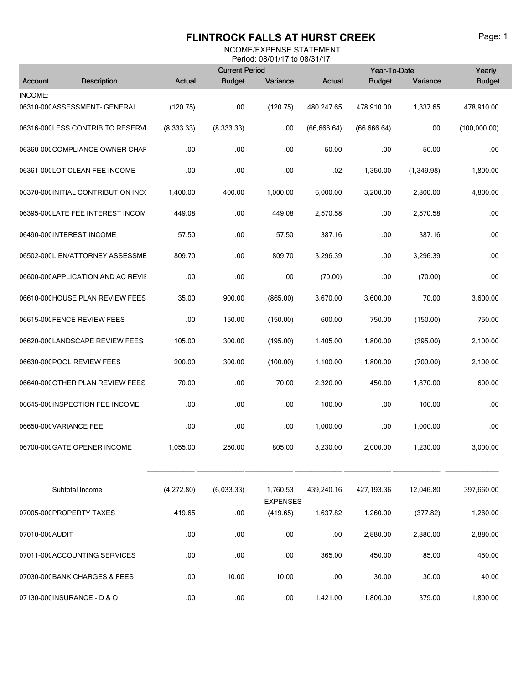## FLINTROCK FALLS AT HURST CREEK Page: 1

## INCOME/EXPENSE STATEMENT Period: 08/01/17 to 08/31/17

|                                  |                                    |            | <b>Current Period</b> |                             |              | Year-To-Date  |            |               |
|----------------------------------|------------------------------------|------------|-----------------------|-----------------------------|--------------|---------------|------------|---------------|
| Account                          | Description                        | Actual     | <b>Budget</b>         | Variance                    | Actual       | <b>Budget</b> | Variance   | <b>Budget</b> |
| INCOME:                          | 06310-00(ASSESSMENT-GENERAL        | (120.75)   | .00                   | (120.75)                    | 480,247.65   | 478,910.00    | 1,337.65   | 478,910.00    |
| 06316-00(LESS CONTRIB TO RESERVI |                                    | (8,333.33) | (8,333.33)            | .00                         | (66, 666.64) | (66, 666.64)  | .00        | (100,000.00)  |
|                                  | 06360-00(COMPLIANCE OWNER CHAF     | .00        | .00                   | .00                         | 50.00        | .00           | 50.00      | .00           |
|                                  | 06361-00(LOT CLEAN FEE INCOME      | .00        | .00                   | .00.                        | .02          | 1,350.00      | (1,349.98) | 1,800.00      |
|                                  | 06370-00(INITIAL CONTRIBUTION INCO | 1,400.00   | 400.00                | 1,000.00                    | 6,000.00     | 3,200.00      | 2,800.00   | 4,800.00      |
|                                  | 06395-00(LATE FEE INTEREST INCOM   | 449.08     | .00                   | 449.08                      | 2,570.58     | .00           | 2,570.58   | .00           |
|                                  | 06490-00(INTEREST INCOME           | 57.50      | .00                   | 57.50                       | 387.16       | .00           | 387.16     | .00           |
|                                  | 06502-00(LIEN/ATTORNEY ASSESSME    | 809.70     | .00                   | 809.70                      | 3,296.39     | .00           | 3,296.39   | .00           |
|                                  | 06600-00( APPLICATION AND AC REVII | .00        | .00                   | .00                         | (70.00)      | .00           | (70.00)    | .00           |
|                                  | 06610-00(HOUSE PLAN REVIEW FEES    | 35.00      | 900.00                | (865.00)                    | 3,670.00     | 3,600.00      | 70.00      | 3,600.00      |
|                                  | 06615-00(FENCE REVIEW FEES         | .00        | 150.00                | (150.00)                    | 600.00       | 750.00        | (150.00)   | 750.00        |
|                                  | 06620-00(LANDSCAPE REVIEW FEES     | 105.00     | 300.00                | (195.00)                    | 1,405.00     | 1,800.00      | (395.00)   | 2,100.00      |
|                                  | 06630-00(POOL REVIEW FEES          | 200.00     | 300.00                | (100.00)                    | 1,100.00     | 1,800.00      | (700.00)   | 2,100.00      |
|                                  | 06640-00( OTHER PLAN REVIEW FEES   | 70.00      | .00                   | 70.00                       | 2,320.00     | 450.00        | 1,870.00   | 600.00        |
|                                  | 06645-00(INSPECTION FEE INCOME     | .00        | .00                   | .00                         | 100.00       | .00           | 100.00     | .00           |
|                                  | 06650-00(VARIANCE FEE              | .00        | .00                   | .00                         | 1,000.00     | .00           | 1,000.00   | .00           |
|                                  | 06700-00(GATE OPENER INCOME        | 1,055.00   | 250.00                | 805.00                      | 3,230.00     | 2,000.00      | 1,230.00   | 3,000.00      |
|                                  | Subtotal Income                    | (4,272.80) | (6,033.33)            | 1,760.53<br><b>EXPENSES</b> | 439,240.16   | 427,193.36    | 12,046.80  | 397,660.00    |
|                                  | 07005-00(PROPERTY TAXES            | 419.65     | .00                   | (419.65)                    | 1,637.82     | 1,260.00      | (377.82)   | 1,260.00      |
| 07010-000 AUDIT                  |                                    | .00        | .00                   | .00                         | .00          | 2,880.00      | 2,880.00   | 2,880.00      |
| 07011-00(ACCOUNTING SERVICES     |                                    | .00        | .00                   | .00                         | 365.00       | 450.00        | 85.00      | 450.00        |
| 07030-00(BANK CHARGES & FEES     |                                    | .00        | 10.00                 | 10.00                       | .00          | 30.00         | 30.00      | 40.00         |
| 07130-00(INSURANCE - D & O       |                                    | .00        | .00                   | .00                         | 1,421.00     | 1,800.00      | 379.00     | 1,800.00      |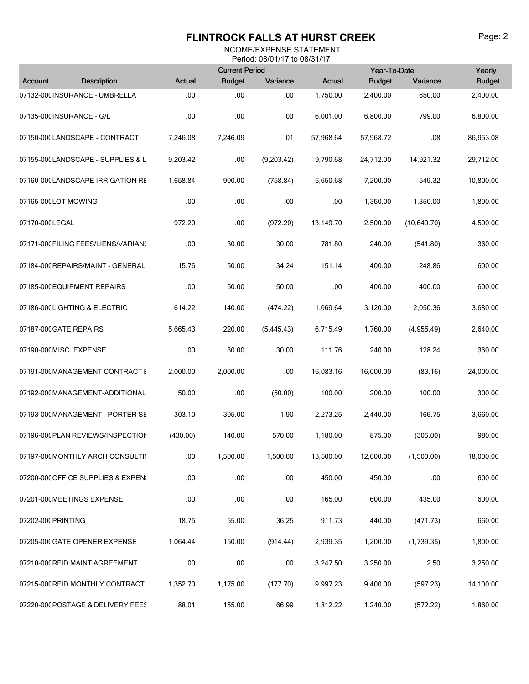## FLINTROCK FALLS AT HURST CREEK Page: 2

INCOME/EXPENSE STATEMENT Period: 08/01/17 to 08/31/17

| $F$ CIIVU. VOIV II I I I VOIV J II I I<br>Year-To-Date<br>Yearly<br><b>Current Period</b> |                                    |          |               |            |           |               |              |               |
|-------------------------------------------------------------------------------------------|------------------------------------|----------|---------------|------------|-----------|---------------|--------------|---------------|
| Account                                                                                   | Description                        | Actual   | <b>Budget</b> | Variance   | Actual    | <b>Budget</b> | Variance     | <b>Budget</b> |
| 07132-00(INSURANCE - UMBRELLA                                                             |                                    | .00      | .00           | .00.       | 1,750.00  | 2,400.00      | 650.00       | 2,400.00      |
| 07135-00( INSURANCE - G/L                                                                 |                                    | .00      | .00           | .00        | 6,001.00  | 6,800.00      | 799.00       | 6,800.00      |
| 07150-00(LANDSCAPE - CONTRACT                                                             |                                    | 7,246.08 | 7,246.09      | .01        | 57,968.64 | 57,968.72     | .08          | 86,953.08     |
|                                                                                           | 07155-00(LANDSCAPE - SUPPLIES & L  | 9.203.42 | .00           | (9,203.42) | 9,790.68  | 24,712.00     | 14,921.32    | 29,712.00     |
|                                                                                           | 07160-00(LANDSCAPE IRRIGATION RE   | 1,658.84 | 900.00        | (758.84)   | 6,650.68  | 7,200.00      | 549.32       | 10,800.00     |
| 07165-00(LOT MOWING                                                                       |                                    | .00      | .00           | .00        | .00       | 1,350.00      | 1,350.00     | 1,800.00      |
| 07170-00(LEGAL                                                                            |                                    | 972.20   | .00           | (972.20)   | 13,149.70 | 2,500.00      | (10, 649.70) | 4,500.00      |
|                                                                                           | 07171-00(FILING FEES/LIENS/VARIAN( | .00      | 30.00         | 30.00      | 781.80    | 240.00        | (541.80)     | 360.00        |
|                                                                                           | 07184-00(REPAIRS/MAINT - GENERAL   | 15.76    | 50.00         | 34.24      | 151.14    | 400.00        | 248.86       | 600.00        |
| 07185-00(EQUIPMENT REPAIRS                                                                |                                    | .00      | 50.00         | 50.00      | .00       | 400.00        | 400.00       | 600.00        |
| 07186-00(LIGHTING & ELECTRIC                                                              |                                    | 614.22   | 140.00        | (474.22)   | 1,069.64  | 3,120.00      | 2,050.36     | 3,680.00      |
| 07187-00(GATE REPAIRS                                                                     |                                    | 5,665.43 | 220.00        | (5,445.43) | 6,715.49  | 1,760.00      | (4,955.49)   | 2,640.00      |
| 07190-00( MISC. EXPENSE                                                                   |                                    | .00      | 30.00         | 30.00      | 111.76    | 240.00        | 128.24       | 360.00        |
|                                                                                           | 07191-00(MANAGEMENT CONTRACT I     | 2,000.00 | 2,000.00      | .00        | 16,083.16 | 16,000.00     | (83.16)      | 24,000.00     |
|                                                                                           | 07192-00(MANAGEMENT-ADDITIONAL     | 50.00    | .00           | (50.00)    | 100.00    | 200.00        | 100.00       | 300.00        |
|                                                                                           | 07193-00(MANAGEMENT - PORTER SE    | 303.10   | 305.00        | 1.90       | 2,273.25  | 2,440.00      | 166.75       | 3,660.00      |
|                                                                                           | 07196-00(PLAN REVIEWS/INSPECTION   | (430.00) | 140.00        | 570.00     | 1,180.00  | 875.00        | (305.00)     | 980.00        |
|                                                                                           | 07197-00(MONTHLY ARCH CONSULTII    | .00      | 1,500.00      | 1,500.00   | 13,500.00 | 12,000.00     | (1,500.00)   | 18,000.00     |
|                                                                                           | 07200-00( OFFICE SUPPLIES & EXPEN  | .00      | .00           | .00        | 450.00    | 450.00        | .00          | 600.00        |
| 07201-00(MEETINGS EXPENSE                                                                 |                                    | .00      | .00           | .00        | 165.00    | 600.00        | 435.00       | 600.00        |
| 07202-00( PRINTING                                                                        |                                    | 18.75    | 55.00         | 36.25      | 911.73    | 440.00        | (471.73)     | 660.00        |
| 07205-00( GATE OPENER EXPENSE                                                             |                                    | 1,064.44 | 150.00        | (914.44)   | 2,939.35  | 1,200.00      | (1,739.35)   | 1,800.00      |
| 07210-00( RFID MAINT AGREEMENT                                                            |                                    | .00      | .00           | .00        | 3,247.50  | 3,250.00      | 2.50         | 3,250.00      |
|                                                                                           | 07215-00( RFID MONTHLY CONTRACT    | 1,352.70 | 1,175.00      | (177.70)   | 9,997.23  | 9,400.00      | (597.23)     | 14,100.00     |
|                                                                                           | 07220-00(POSTAGE & DELIVERY FEES   | 88.01    | 155.00        | 66.99      | 1,812.22  | 1,240.00      | (572.22)     | 1,860.00      |